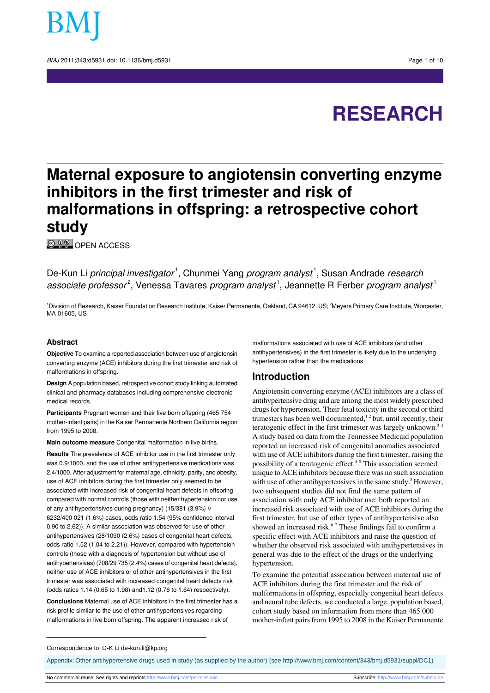

BMJ 2011:343:d5931 doi: 10.1136/bmi.d5931 example 1 of 10 and 10 ft 10 and 10 ft 10 and 10 ft 10 and 10 ft 10

# **RESEARCH**

## **Maternal exposure to angiotensin converting enzyme inhibitors in the first trimester and risk of malformations in offspring: a retrospective cohort study**

© 09 OPEN ACCESS

De-Kun Li *principal investigator*<sup>1</sup>, Chunmei Yang *program analyst<sup>1</sup>, Susan Andrade research* associate professor<sup>2</sup>, Venessa Tavares *program analyst*<sup>1</sup>, Jeannette R Ferber *program analyst*<sup>1</sup>

<sup>1</sup>Division of Research, Kaiser Foundation Research Institute, Kaiser Permanente, Oakland, CA 94612, US; <sup>2</sup>Meyers Primary Care Institute, Worcester, **MA 01605, US** 

#### **Abstract**

**Objective** To examine a reported association between use of angiotensin converting enzyme (ACE) inhibitors during the first trimester and risk of malformations in offspring.

**Design** A population based, retrospective cohort study linking automated clinical and pharmacy databases including comprehensive electronic medical records.

**Participants** Pregnant women and their live born offspring (465 754 mother-infant pairs) in the Kaiser Permanente Northern California region from 1995 to 2008.

**Main outcome measure** Congenital malformation in live births.

**Results** The prevalence of ACE inhibitor use in the first trimester only was 0.9/1000, and the use of other antihypertensive medications was 2.4/1000. After adjustment for maternal age, ethnicity, parity, and obesity, use of ACE inhibitors during the first trimester only seemed to be associated with increased risk of congenital heart defects in offspring compared with normal controls (those with neither hypertension nor use of any antihypertensives during pregnancy) (15/381 (3.9%) v 6232/400 021 (1.6%) cases, odds ratio 1.54 (95% confidence interval 0.90 to 2.62)). A similar association was observed for use of other antihypertensives (28/1090 (2.6%) cases of congenital heart defects, odds ratio 1.52 (1.04 to 2.21)). However, compared with hypertension controls (those with a diagnosis of hypertension but without use of antihypertensives) (708/29 735 (2.4%) cases of congenital heart defects), neither use of ACE inhibitors or of other antihypertensives in the first trimester was associated with increased congenital heart defects risk (odds ratios 1.14 (0.65 to 1.98) and1.12 (0.76 to 1.64) respectively).

**Conclusions** Maternal use of ACE inhibitors in the first trimester has a risk profile similar to the use of other antihypertensives regarding malformations in live born offspring. The apparent increased risk of

malformations associated with use of ACE inhibitors (and other antihypertensives) in the first trimester is likely due to the underlying hypertension rather than the medications.

## **Introduction**

Angiotensin converting enzyme (ACE) inhibitors are a class of antihypertensive drug and are among the most widely prescribed drugs for hypertension. Their fetal toxicity in the second or third trimesters has been well documented, $1<sup>2</sup>$  but, until recently, their teratogenic effect in the first trimester was largely unknown.<sup>34</sup> A study based on data from the Tennessee Medicaid population reported an increased risk of congenital anomalies associated with use of ACE inhibitors during the first trimester, raising the possibility of a teratogenic effect.<sup>45</sup> This association seemed unique to ACE inhibitors because there was no such association with use of other antihypertensives in the same study.<sup>5</sup> However, two subsequent studies did not find the same pattern of association with only ACE inhibitor use: both reported an increased risk associated with use of ACE inhibitors during the first trimester, but use of other types of antihypertensive also showed an increased risk.<sup>67</sup> These findings fail to confirm a specific effect with ACE inhibitors and raise the question of whether the observed risk associated with antihypertensives in general was due to the effect of the drugs or the underlying hypertension.

To examine the potential association between maternal use of ACE inhibitors during the first trimester and the risk of malformations in offspring, especially congenital heart defects and neural tube defects, we conducted a large, population based, cohort study based on information from more than 465 000 mother-infant pairs from 1995 to 2008 in the Kaiser Permanente

#### Correspondence to: D-K Li de-kun.li@kp.org

Appendix: Other antihypertensive drugs used in study (as supplied by the author) (see <http://www.bmj.com/content/343/bmj.d5931/suppl/DC1>)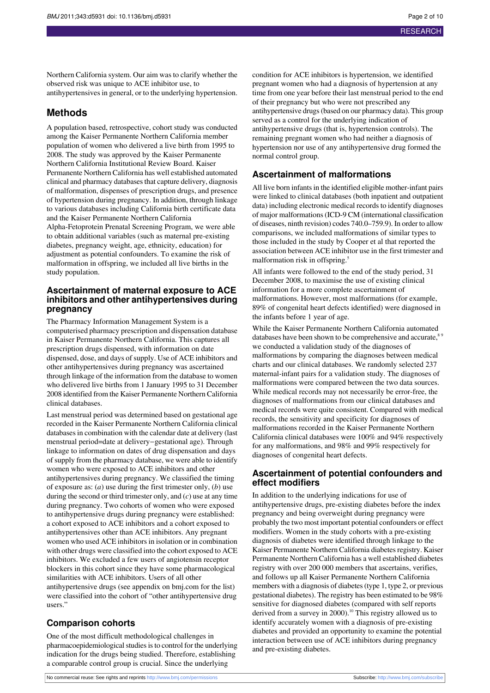Northern California system. Our aim was to clarify whether the observed risk was unique to ACE inhibitor use, to antihypertensives in general, or to the underlying hypertension.

### **Methods**

A population based, retrospective, cohort study was conducted among the Kaiser Permanente Northern California member population of women who delivered a live birth from 1995 to 2008. The study was approved by the Kaiser Permanente Northern California Institutional Review Board. Kaiser Permanente Northern California has well established automated clinical and pharmacy databasesthat capture delivery, diagnosis of malformation, dispenses of prescription drugs, and presence of hypertension during pregnancy. In addition, through linkage to various databases including California birth certificate data and the Kaiser Permanente Northern California Alpha-Fetoprotein Prenatal Screening Program, we were able to obtain additional variables (such as maternal pre-existing diabetes, pregnancy weight, age, ethnicity, education) for adjustment as potential confounders. To examine the risk of malformation in offspring, we included all live births in the study population.

#### **Ascertainment of maternal exposure to ACE inhibitors and other antihypertensives during pregnancy**

The Pharmacy Information Management System is a computerised pharmacy prescription and dispensation database in Kaiser Permanente Northern California. This captures all prescription drugs dispensed, with information on date dispensed, dose, and days of supply. Use of ACE inhibitors and other antihypertensives during pregnancy was ascertained through linkage of the information from the database to women who delivered live births from 1 January 1995 to 31 December 2008 identified from the Kaiser Permanente Northern California clinical databases.

Last menstrual period was determined based on gestational age recorded in the Kaiser Permanente Northern California clinical databases in combination with the calendar date at delivery (last menstrual period=date at delivery−gestational age). Through linkage to information on dates of drug dispensation and days of supply from the pharmacy database, we were able to identify women who were exposed to ACE inhibitors and other antihypertensives during pregnancy. We classified the timing of exposure as: (*a*) use during the first trimester only, (*b*) use during the second or third trimester only, and (*c*) use at any time during pregnancy. Two cohorts of women who were exposed to antihypertensive drugs during pregnancy were established: a cohort exposed to ACE inhibitors and a cohort exposed to antihypertensives other than ACE inhibitors. Any pregnant women who used ACE inhibitors in isolation or in combination with other drugs were classified into the cohort exposed to ACE inhibitors. We excluded a few users of angiotensin receptor blockers in this cohort since they have some pharmacological similarities with ACE inhibitors. Users of all other antihypertensive drugs (see appendix on bmj.com for the list) were classified into the cohort of "other antihypertensive drug users."

#### **Comparison cohorts**

One of the most difficult methodological challenges in pharmacoepidemiological studies is to control for the underlying indication for the drugs being studied. Therefore, establishing a comparable control group is crucial. Since the underlying

condition for ACE inhibitors is hypertension, we identified pregnant women who had a diagnosis of hypertension at any time from one year before their last menstrual period to the end of their pregnancy but who were not prescribed any antihypertensive drugs(based on our pharmacy data). This group served as a control for the underlying indication of antihypertensive drugs (that is, hypertension controls). The remaining pregnant women who had neither a diagnosis of hypertension nor use of any antihypertensive drug formed the normal control group.

#### **Ascertainment of malformations**

All live born infants in the identified eligible mother-infant pairs were linked to clinical databases (both inpatient and outpatient data) including electronic medical records to identify diagnoses of major malformations(ICD-9 CM (international classification of diseases, ninth revision) codes 740.0–759.9). In order to allow comparisons, we included malformations of similar types to those included in the study by Cooper et al that reported the association between ACE inhibitor use in the first trimester and malformation risk in offspring.<sup>5</sup>

All infants were followed to the end of the study period, 31 December 2008, to maximise the use of existing clinical information for a more complete ascertainment of malformations. However, most malformations (for example, 89% of congenital heart defects identified) were diagnosed in the infants before 1 year of age.

While the Kaiser Permanente Northern California automated databases have been shown to be comprehensive and accurate, <sup>89</sup> we conducted a validation study of the diagnoses of malformations by comparing the diagnoses between medical charts and our clinical databases. We randomly selected 237 maternal-infant pairs for a validation study. The diagnoses of malformations were compared between the two data sources. While medical records may not necessarily be error-free, the diagnoses of malformations from our clinical databases and medical records were quite consistent. Compared with medical records, the sensitivity and specificity for diagnoses of malformations recorded in the Kaiser Permanente Northern California clinical databases were 100% and 94% respectively for any malformations, and 98% and 99% respectively for diagnoses of congenital heart defects.

#### **Ascertainment of potential confounders and effect modifiers**

In addition to the underlying indications for use of antihypertensive drugs, pre-existing diabetes before the index pregnancy and being overweight during pregnancy were probably the two most important potential confounders or effect modifiers. Women in the study cohorts with a pre-existing diagnosis of diabetes were identified through linkage to the Kaiser Permanente Northern California diabetes registry. Kaiser Permanente Northern California has a well established diabetes registry with over 200 000 members that ascertains, verifies, and follows up all Kaiser Permanente Northern California members with a diagnosis of diabetes (type 1, type 2, or previous gestational diabetes). The registry has been estimated to be 98% sensitive for diagnosed diabetes (compared with self reports derived from a survey in 2000).<sup>10</sup> This registry allowed us to identify accurately women with a diagnosis of pre-existing diabetes and provided an opportunity to examine the potential interaction between use of ACE inhibitors during pregnancy and pre-existing diabetes.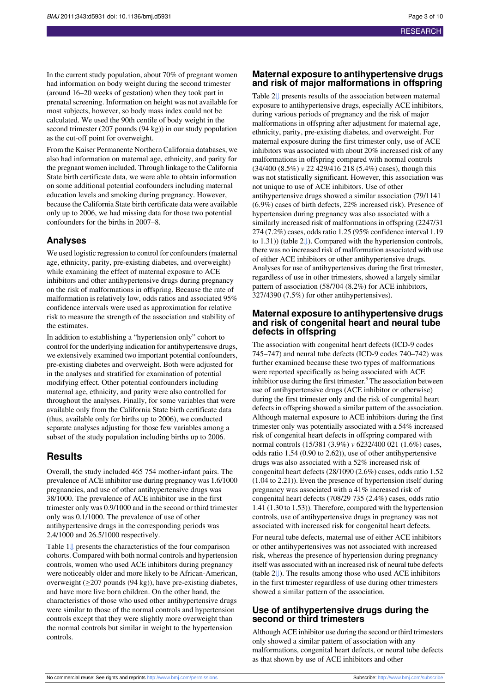In the current study population, about 70% of pregnant women had information on body weight during the second trimester (around 16–20 weeks of gestation) when they took part in prenatal screening. Information on height was not available for most subjects, however, so body mass index could not be calculated. We used the 90th centile of body weight in the second trimester (207 pounds (94 kg)) in our study population as the cut-off point for overweight.

From the Kaiser Permanente Northern California databases, we also had information on maternal age, ethnicity, and parity for the pregnant women included. Through linkage to the California State birth certificate data, we were able to obtain information on some additional potential confounders including maternal education levels and smoking during pregnancy. However, because the California State birth certificate data were available only up to 2006, we had missing data for those two potential confounders for the births in 2007–8.

#### **Analyses**

We used logistic regression to control for confounders(maternal age, ethnicity, parity, pre-existing diabetes, and overweight) while examining the effect of maternal exposure to ACE inhibitors and other antihypertensive drugs during pregnancy on the risk of malformations in offspring. Because the rate of malformation is relatively low, odds ratios and associated 95% confidence intervals were used as approximation for relative risk to measure the strength of the association and stability of the estimates.

In addition to establishing a "hypertension only" cohort to control for the underlying indication for antihypertensive drugs, we extensively examined two important potential confounders, pre-existing diabetes and overweight. Both were adjusted for in the analyses and stratified for examination of potential modifying effect. Other potential confounders including maternal age, ethnicity, and parity were also controlled for throughout the analyses. Finally, for some variables that were available only from the California State birth certificate data (thus, available only for births up to 2006), we conducted separate analyses adjusting for those few variables among a subset of the study population including births up to 2006.

#### **Results**

Overall, the study included 465 754 mother-infant pairs. The prevalence of ACE inhibitor use during pregnancy was 1.6/1000 pregnancies, and use of other antihypertensive drugs was 38/1000. The prevalence of ACE inhibitor use in the first trimester only was 0.9/1000 and in the second or third trimester only was 0.1/1000. The prevalence of use of other antihypertensive drugs in the corresponding periods was 2.4/1000 and 26.5/1000 respectively.

Table 1[⇓](#page-6-0) presents the characteristics of the four comparison cohorts. Compared with both normal controls and hypertension controls, women who used ACE inhibitors during pregnancy were noticeably older and more likely to be African-American, overweight (≥207 pounds (94 kg)), have pre-existing diabetes, and have more live born children. On the other hand, the characteristics of those who used other antihypertensive drugs were similar to those of the normal controls and hypertension controls except that they were slightly more overweight than the normal controls but similar in weight to the hypertension controls.

#### **Maternal exposure to antihypertensive drugs and risk of major malformations in offspring**

Table 2[⇓](#page-7-0) presents results of the association between maternal exposure to antihypertensive drugs, especially ACE inhibitors, during various periods of pregnancy and the risk of major malformations in offspring after adjustment for maternal age, ethnicity, parity, pre-existing diabetes, and overweight. For maternal exposure during the first trimester only, use of ACE inhibitors was associated with about 20% increased risk of any malformations in offspring compared with normal controls (34/400 (8.5%) *v* 22 429/416 218 (5.4%) cases), though this was not statistically significant. However, this association was not unique to use of ACE inhibitors. Use of other antihypertensive drugs showed a similar association (79/1141 (6.9%) cases of birth defects, 22% increased risk). Presence of hypertension during pregnancy was also associated with a similarly increased risk of malformations in offspring (2247/31 274 (7.2%) cases, oddsratio 1.25 (95% confidence interval 1.19 to 1.31)) (table [2⇓](#page-7-0)). Compared with the hypertension controls, there was no increased risk of malformation associated with use of either ACE inhibitors or other antihypertensive drugs. Analyses for use of antihypertensives during the first trimester, regardless of use in other trimesters, showed a largely similar pattern of association (58/704 (8.2%) for ACE inhibitors, 327/4390 (7.5%) for other antihypertensives).

#### **Maternal exposure to antihypertensive drugs and risk of congenital heart and neural tube defects in offspring**

The association with congenital heart defects (ICD-9 codes 745–747) and neural tube defects (ICD-9 codes 740–742) was further examined because these two types of malformations were reported specifically as being associated with ACE inhibitor use during the first trimester.<sup>5</sup> The association between use of antihypertensive drugs (ACE inhibitor or otherwise) during the first trimester only and the risk of congenital heart defects in offspring showed a similar pattern of the association. Although maternal exposure to ACE inhibitors during the first trimester only was potentially associated with a 54% increased risk of congenital heart defects in offspring compared with normal controls (15/381 (3.9%) *v* 6232/400 021 (1.6%) cases, odds ratio 1.54 (0.90 to 2.62)), use of other antihypertensive drugs was also associated with a 52% increased risk of congenital heart defects (28/1090 (2.6%) cases, odds ratio 1.52 (1.04 to 2.21)). Even the presence of hypertension itself during pregnancy was associated with a 41% increased risk of congenital heart defects (708/29 735 (2.4%) cases, odds ratio 1.41 (1.30 to 1.53)). Therefore, compared with the hypertension controls, use of antihypertensive drugs in pregnancy was not associated with increased risk for congenital heart defects.

For neural tube defects, maternal use of either ACE inhibitors or other antihypertensives was not associated with increased risk, whereas the presence of hypertension during pregnancy itself was associated with an increased risk of neural tube defects (table 2[⇓\)](#page-7-0). The results among those who used ACE inhibitors in the first trimester regardless of use during other trimesters showed a similar pattern of the association.

#### **Use of antihypertensive drugs during the second or third trimesters**

Although ACE inhibitor use during the second or third trimesters only showed a similar pattern of association with any malformations, congenital heart defects, or neural tube defects as that shown by use of ACE inhibitors and other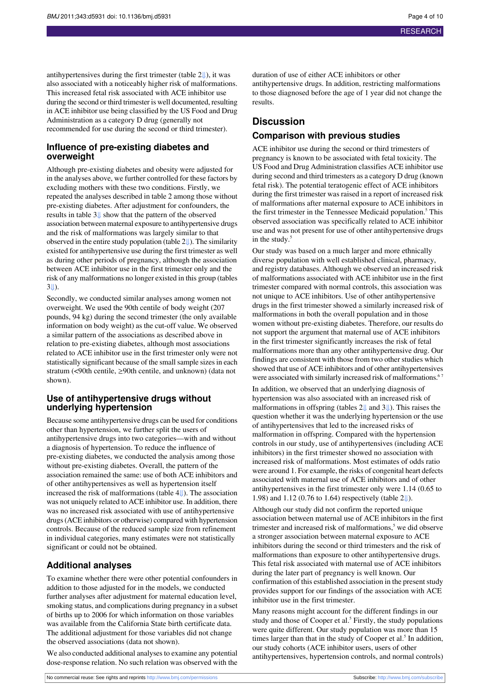antihypertensives during the first trimester (table  $2\mathbb{U}$ ), it was also associated with a noticeably higher risk of malformations. This increased fetal risk associated with ACE inhibitor use during the second or third trimester is well documented, resulting in ACE inhibitor use being classified by the US Food and Drug Administration as a category D drug (generally not recommended for use during the second or third trimester).

#### **Influence of pre-existing diabetes and overweight**

Although pre-existing diabetes and obesity were adjusted for in the analyses above, we further controlled for these factors by excluding mothers with these two conditions. Firstly, we repeated the analyses described in table 2 among those without pre-existing diabetes. After adjustment for confounders, the results in table 3[⇓](#page-8-0) show that the pattern of the observed association between maternal exposure to antihypertensive drugs and the risk of malformations was largely similar to that observed in the entire study population (table 2[⇓](#page-7-0)). The similarity existed for antihypertensive use during the first trimester as well as during other periods of pregnancy, although the association between ACE inhibitor use in the first trimester only and the risk of any malformations no longer existed in this group (tables  $3\parallel$ ).

Secondly, we conducted similar analyses among women not overweight. We used the 90th centile of body weight (207 pounds, 94 kg) during the second trimester (the only available information on body weight) as the cut-off value. We observed a similar pattern of the associations as described above in relation to pre-existing diabetes, although most associations related to ACE inhibitor use in the first trimester only were not statistically significant because of the small sample sizes in each stratum (<90th centile, ≥90th centile, and unknown) (data not shown).

#### **Use of antihypertensive drugs without underlying hypertension**

Because some antihypertensive drugs can be used for conditions other than hypertension, we further split the users of antihypertensive drugs into two categories—with and without a diagnosis of hypertension. To reduce the influence of pre-existing diabetes, we conducted the analysis among those without pre-existing diabetes. Overall, the pattern of the association remained the same: use of both ACE inhibitors and of other antihypertensives as well as hypertension itself increased the risk of malformations (table 4[⇓](#page-9-0)). The association was not uniquely related to ACE inhibitor use. In addition, there was no increased risk associated with use of antihypertensive drugs(ACE inhibitors or otherwise) compared with hypertension controls. Because of the reduced sample size from refinement in individual categories, many estimates were not statistically significant or could not be obtained.

#### **Additional analyses**

To examine whether there were other potential confounders in addition to those adjusted for in the models, we conducted further analyses after adjustment for maternal education level, smoking status, and complications during pregnancy in a subset of births up to 2006 for which information on those variables was available from the California State birth certificate data. The additional adjustment for those variables did not change the observed associations (data not shown).

We also conducted additional analyses to examine any potential dose-response relation. No such relation was observed with the duration of use of either ACE inhibitors or other antihypertensive drugs. In addition, restricting malformations to those diagnosed before the age of 1 year did not change the results.

## **Discussion**

#### **Comparison with previous studies**

ACE inhibitor use during the second or third trimesters of pregnancy is known to be associated with fetal toxicity. The US Food and Drug Administration classifies ACE inhibitor use during second and third trimesters as a category D drug (known fetal risk). The potential teratogenic effect of ACE inhibitors during the first trimester was raised in a report of increased risk of malformations after maternal exposure to ACE inhibitors in the first trimester in the Tennessee Medicaid population.<sup>5</sup> This observed association was specifically related to ACE inhibitor use and was not present for use of other antihypertensive drugs in the study.<sup>5</sup>

Our study was based on a much larger and more ethnically diverse population with well established clinical, pharmacy, and registry databases. Although we observed an increased risk of malformations associated with ACE inhibitor use in the first trimester compared with normal controls, this association was not unique to ACE inhibitors. Use of other antihypertensive drugs in the first trimester showed a similarly increased risk of malformations in both the overall population and in those women without pre-existing diabetes. Therefore, our results do not support the argument that maternal use of ACE inhibitors in the first trimester significantly increases the risk of fetal malformations more than any other antihypertensive drug. Our findings are consistent with those from two other studies which showed that use of ACE inhibitors and of other antihypertensives were associated with similarly increased risk of malformations.<sup>67</sup>

In addition, we observed that an underlying diagnosis of hypertension was also associated with an increased risk of malformations in offspring (tables 2[⇓](#page-7-0) and 3[⇓\)](#page-8-0). This raises the question whether it was the underlying hypertension or the use of antihypertensives that led to the increased risks of malformation in offspring. Compared with the hypertension controls in our study, use of antihypertensives (including ACE inhibitors) in the first trimester showed no association with increased risk of malformations. Most estimates of odds ratio were around 1. For example, the risks of congenital heart defects associated with maternal use of ACE inhibitors and of other antihypertensives in the first trimester only were 1.14 (0.65 to 1.98) and 1.12 (0.76 to 1.64) respectively (table [2⇓](#page-7-0)).

Although our study did not confirm the reported unique association between maternal use of ACE inhibitors in the first trimester and increased risk of malformations,<sup>5</sup> we did observe a stronger association between maternal exposure to ACE inhibitors during the second or third trimesters and the risk of malformations than exposure to other antihypertensive drugs. This fetal risk associated with maternal use of ACE inhibitors during the later part of pregnancy is well known. Our confirmation of this established association in the present study provides support for our findings of the association with ACE inhibitor use in the first trimester.

Many reasons might account for the different findings in our study and those of Cooper et al.<sup>5</sup> Firstly, the study populations were quite different. Our study population was more than 15 times larger than that in the study of Cooper et al.<sup>5</sup> In addition, our study cohorts (ACE inhibitor users, users of other antihypertensives, hypertension controls, and normal controls)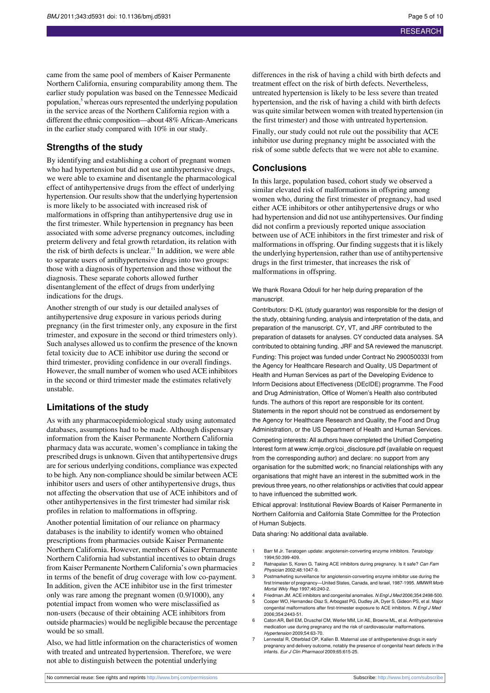came from the same pool of members of Kaiser Permanente Northern California, ensuring comparability among them. The earlier study population was based on the Tennessee Medicaid population,<sup>5</sup> whereas ours represented the underlying population in the service areas of the Northern California region with a different the ethnic composition—about 48% African-Americans in the earlier study compared with 10% in our study.

#### **Strengths of the study**

By identifying and establishing a cohort of pregnant women who had hypertension but did not use antihypertensive drugs, we were able to examine and disentangle the pharmacological effect of antihypertensive drugs from the effect of underlying hypertension. Our results show that the underlying hypertension is more likely to be associated with increased risk of malformations in offspring than antihypertensive drug use in the first trimester. While hypertension in pregnancy has been associated with some adverse pregnancy outcomes, including preterm delivery and fetal growth retardation, its relation with the risk of birth defects is unclear.<sup>11</sup> In addition, we were able to separate users of antihypertensive drugs into two groups: those with a diagnosis of hypertension and those without the diagnosis. These separate cohorts allowed further disentanglement of the effect of drugs from underlying indications for the drugs.

Another strength of our study is our detailed analyses of antihypertensive drug exposure in various periods during pregnancy (in the first trimester only, any exposure in the first trimester, and exposure in the second or third trimesters only). Such analyses allowed us to confirm the presence of the known fetal toxicity due to ACE inhibitor use during the second or third trimester, providing confidence in our overall findings. However, the small number of women who used ACE inhibitors in the second or third trimester made the estimates relatively unstable.

#### **Limitations of the study**

As with any pharmacoepidemiological study using automated databases, assumptions had to be made. Although dispensary information from the Kaiser Permanente Northern California pharmacy data was accurate, women's compliance in taking the prescribed drugs is unknown. Given that antihypertensive drugs are for serious underlying conditions, compliance was expected to be high. Any non-compliance should be similar between ACE inhibitor users and users of other antihypertensive drugs, thus not affecting the observation that use of ACE inhibitors and of other antihypertensives in the first trimester had similar risk profiles in relation to malformations in offspring.

Another potential limitation of our reliance on pharmacy databases is the inability to identify women who obtained prescriptions from pharmacies outside Kaiser Permanente Northern California. However, members of Kaiser Permanente Northern California had substantial incentives to obtain drugs from Kaiser Permanente Northern California's own pharmacies in terms of the benefit of drug coverage with low co-payment. In addition, given the ACE inhibitor use in the first trimester only was rare among the pregnant women (0.9/1000), any potential impact from women who were misclassified as non-users (because of their obtaining ACE inhibitors from outside pharmacies) would be negligible because the percentage would be so small.

Also, we had little information on the characteristics of women with treated and untreated hypertension. Therefore, we were not able to distinguish between the potential underlying

differences in the risk of having a child with birth defects and treatment effect on the risk of birth defects. Nevertheless, untreated hypertension is likely to be less severe than treated hypertension, and the risk of having a child with birth defects was quite similar between women with treated hypertension (in the first trimester) and those with untreated hypertension.

Finally, our study could not rule out the possibility that ACE inhibitor use during pregnancy might be associated with the risk of some subtle defects that we were not able to examine.

#### **Conclusions**

In this large, population based, cohort study we observed a similar elevated risk of malformations in offspring among women who, during the first trimester of pregnancy, had used either ACE inhibitors or other antihypertensive drugs or who had hypertension and did not use antihypertensives. Our finding did not confirm a previously reported unique association between use of ACE inhibitors in the first trimester and risk of malformations in offspring. Our finding suggests that it is likely the underlying hypertension, rather than use of antihypertensive drugs in the first trimester, that increases the risk of malformations in offspring.

We thank Roxana Odouli for her help during preparation of the manuscript.

Contributors: D-KL (study guarantor) was responsible for the design of the study, obtaining funding, analysis and interpretation of the data, and preparation of the manuscript. CY, VT, and JRF contributed to the preparation of datasets for analyses. CY conducted data analyses. SA contributed to obtaining funding. JRF and SA reviewed the manuscript. Funding: This project was funded under Contract No 290050033I from

the Agency for Healthcare Research and Quality, US Department of Health and Human Services as part of the Developing Evidence to Inform Decisions about Effectiveness (DEcIDE) programme. The Food and Drug Administration, Office of Women's Health also contributed funds. The authors of this report are responsible for its content. Statements in the report should not be construed as endorsement by the Agency for Healthcare Research and Quality, the Food and Drug Administration, or the US Department of Health and Human Services.

Competing interests: All authors have completed the Unified Competing Interest form at [www.icmje.org/coi\\_disclosure.pdf](http://www.icmje.org/coi_disclosure.pdf) (available on request from the corresponding author) and declare: no support from any organisation for the submitted work; no financial relationships with any organisations that might have an interest in the submitted work in the previous three years, no other relationships or activities that could appear to have influenced the submitted work.

Ethical approval: Institutional Review Boards of Kaiser Permanente in Northern California and California State Committee for the Protection of Human Subjects.

Data sharing: No additional data available.

- 1 Barr M Jr. Teratogen update: angiotensin-converting enzyme inhibitors. Teratology 1994;50:399-409.
- 2 Ratnapalan S, Koren G. Taking ACE inhibitors during pregnancy. Is it safe? Can Fam Physician 2002;48:1047-9.
- 3 Postmarketing surveillance for angiotensin-converting enzyme inhibitor use during the first trimester of pregnancy—United States, Canada, and Israel, 1987-1995. MMWR Morb Mortal Wkly Rep 1997;46:240-2.
- Friedman JM. ACE inhibitors and congenital anomalies. N Engl J Med 2006;354:2498-500. 5 Cooper WO, Hernandez-Diaz S, Arbogast PG, Dudley JA, Dyer S, Gideon PS, et al. Major
- congenital malformations after first-trimester exposure to ACE inhibitors. N Engl J Med 2006;354:2443-51. 6 Caton AR, Bell EM, Druschel CM, Werler MM, Lin AE, Browne ML, et al. Antihypertensive
- medication use during pregnancy and the risk of cardiovascular malformations. Hypertension 2009;54:63-70.
- 7 Lennestal R, Otterblad OP, Kallen B. Maternal use of antihypertensive drugs in early pregnancy and delivery outcome, notably the presence of congenital heart defects in the infants. Eur J Clin Pharmacol 2009;65:615-25.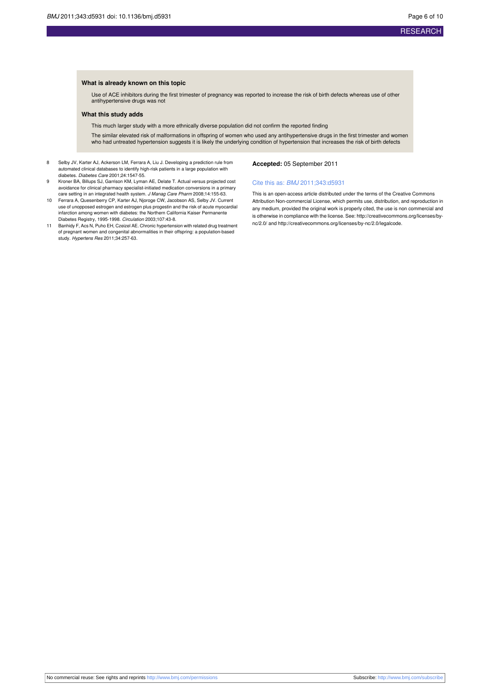#### **RESEARCH**

#### **What is already known on this topic**

Use of ACE inhibitors during the first trimester of pregnancy was reported to increase the risk of birth defects whereas use of other antihypertensive drugs was not

#### **What this study adds**

This much larger study with a more ethnically diverse population did not confirm the reported finding

The similar elevated risk of malformations in offspring of women who used any antihypertensive drugs in the first trimester and women who had untreated hypertension suggests it is likely the underlying condition of hypertension that increases the risk of birth defects

- 8 Selby JV, Karter AJ, Ackerson LM, Ferrara A, Liu J. Developing a prediction rule from automated clinical databases to identify high-risk patients in a large population with diabetes. Diabetes Care 2001;24:1547-55.
- 9 Kroner BA, Billups SJ, Garrison KM, Lyman AE, Delate T. Actual versus projected cost avoidance for clinical pharmacy specialist-initiated medication conversions in a primary care setting in an integrated health system. J Manag Care Pharm 2008;14:155-63.
- 10 Ferrara A, Quesenberry CP, Karter AJ, Njoroge CW, Jacobson AS, Selby JV. Current use of unopposed estrogen and estrogen plus progestin and the risk of acute myocardial infarction among women with diabetes: the Northern California Kaiser Permanente Diabetes Registry, 1995-1998. Circulation 2003;107:43-8.
- 11 Banhidy F, Acs N, Puho EH, Czeizel AE. Chronic hypertension with related drug treatment of pregnant women and congenital abnormalities in their offspring: a population-based<br>study. *Hypertens Res* 2011;34:257-63.

**Accepted:** 05 September 2011

#### Cite this as: BMJ 2011;343:d5931

This is an open-access article distributed under the terms of the Creative Commons Attribution Non-commercial License, which permits use, distribution, and reproduction in any medium, provided the original work is properly cited, the use is non commercial and is otherwise in compliance with the license. See: [http://creativecommons.org/licenses/by](http://creativecommons.org/licenses/by-nc/2.0/)[nc/2.0/](http://creativecommons.org/licenses/by-nc/2.0/) and <http://creativecommons.org/licenses/by-nc/2.0/legalcode>.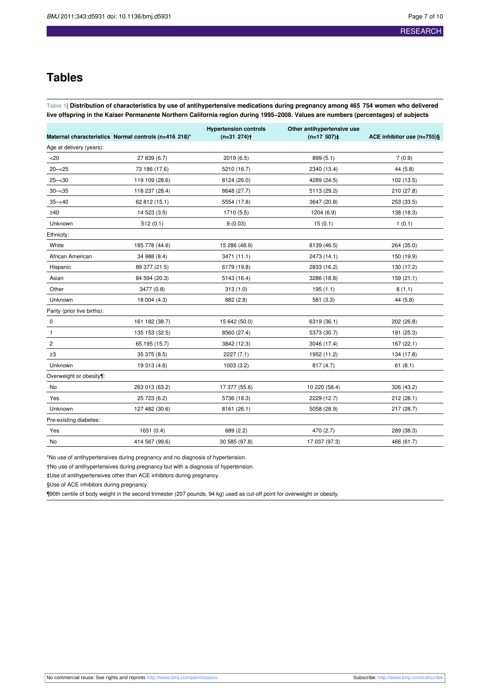## **Tables**

<span id="page-6-0"></span>Table 1| Distribution of characteristics by use of antihypertensive medications during pregnancy among 465 754 women who delivered live offspring in the Kaiser Permanente Northern California region during 1995-2008. Values are numbers (percentages) of subjects

|                             | Maternal characteristics Normal controls (n=416 218)* | <b>Hypertension controls</b><br>$(n=31 274)$ <sup>+</sup> | Other antihypertensive use<br>$(n=17 507)$ ‡ | ACE inhibitor use (n=755)§ |
|-----------------------------|-------------------------------------------------------|-----------------------------------------------------------|----------------------------------------------|----------------------------|
| Age at delivery (years):    |                                                       |                                                           |                                              |                            |
| $20$                        | 27 839 (6.7)                                          | 2019 (6.5)                                                | 899 (5.1)                                    | 7(0.9)                     |
| $20 - 25$                   | 73 186 (17.6)                                         | 5210 (16.7)                                               | 2340 (13.4)                                  | 44 (5.8)                   |
| $25 - 30$                   | 119 109 (28.6)                                        | 8124 (26.0)                                               | 4289 (24.5)                                  | 102 (13.5)                 |
| $30 - 35$                   | 118 237 (28.4)                                        | 8648 (27.7)                                               | 5113 (29.2)                                  | 210 (27.8)                 |
| $35 - 40$                   | 62 812 (15.1)                                         | 5554 (17.8)                                               | 3647 (20.8)                                  | 253 (33.5)                 |
| $\geq 40$                   | 14 523 (3.5)                                          | 1710 (5.5)                                                | 1204 (6.9)                                   | 138 (18.3)                 |
| Unknown                     | 512(0.1)                                              | 9(0.03)                                                   | 15(0.1)                                      | 1(0.1)                     |
| Ethnicity:                  |                                                       |                                                           |                                              |                            |
| White                       | 185 778 (44.6)                                        | 15 286 (48.9)                                             | 8139 (46.5)                                  | 264 (35.0)                 |
| African American            | 34 988 (8.4)                                          | 3471 (11.1)                                               | 2473 (14.1)                                  | 150 (19.9)                 |
| Hispanic                    | 89 377 (21.5)                                         | 6179 (19.8)                                               | 2833 (16.2)                                  | 130 (17.2)                 |
| Asian                       | 84 594 (20.3)                                         | 5143 (16.4)                                               | 3286 (18.8)                                  | 159 (21.1)                 |
| Other                       | 3477 (0.8)                                            | 313(1.0)                                                  | 195(1.1)                                     | 8(1.1)                     |
| Unknown                     | 18 004 (4.3)                                          | 882 (2.8)                                                 | 581 (3.3)                                    | 44 (5.8)                   |
| Parity (prior live births): |                                                       |                                                           |                                              |                            |
| 0                           | 161 182 (38.7)                                        | 15 642 (50.0)                                             | 6319 (36.1)                                  | 202 (26.8)                 |
| 1                           | 135 153 (32.5)                                        | 8560 (27.4)                                               | 5373 (30.7)                                  | 191 (25.3)                 |
| $\overline{c}$              | 65 195 (15.7)                                         | 3842 (12.3)                                               | 3046 (17.4)                                  | 167 (22.1)                 |
| $\geq 3$                    | 35 375 (8.5)                                          | 2227 (7.1)                                                | 1952 (11.2)                                  | 134 (17.8)                 |
| Unknown                     | 19 313 (4.6)                                          | 1003(3.2)                                                 | 817 (4.7)                                    | 61(8.1)                    |
| Overweight or obesity¶:     |                                                       |                                                           |                                              |                            |
| No                          | 263 013 (63.2)                                        | 17 377 (55.6)                                             | 10 220 (58.4)                                | 326 (43.2)                 |
| Yes                         | 25 723 (6.2)                                          | 5736 (18.3)                                               | 2229 (12.7)                                  | 212 (28.1)                 |
| Unknown                     | 127 482 (30.6)                                        | 8161 (26.1)                                               | 5058 (28.9)                                  | 217 (28.7)                 |
| Pre-existing diabetes:      |                                                       |                                                           |                                              |                            |
| Yes                         | 1651(0.4)                                             | 689 (2.2)                                                 | 470 (2.7)                                    | 289 (38.3)                 |
| No                          | 414 567 (99.6)                                        | 30 585 (97.8)                                             | 17 037 (97.3)                                | 466 (61.7)                 |

\*No use of antihypertensives during pregnancy and no diagnosis of hypertension.

†No use of antihypertensives during pregnancy but with a diagnosis of hypertension.

‡Use of antihypertensives other than ACE inhibitors during pregnancy.

§Use of ACE inhibitors during pregnancy.

¶90th centile of body weight in the second trimester (207 pounds, 94 kg) used as cut-off point for overweight or obesity.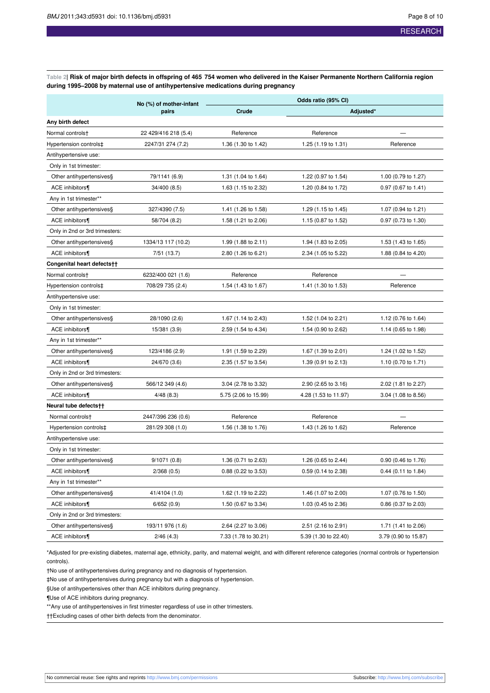<span id="page-7-0"></span>Table 2| Risk of major birth defects in offspring of 465 754 women who delivered in the Kaiser Permanente Northern California region **during 1995–2008 by maternal use of antihypertensive medications during pregnancy**

|                                | No (%) of mother-infant | Odds ratio (95% CI)  |                      |                      |
|--------------------------------|-------------------------|----------------------|----------------------|----------------------|
|                                | pairs                   | Crude<br>Adjusted*   |                      |                      |
| Any birth defect               |                         |                      |                      |                      |
| Normal controls†               | 22 429/416 218 (5.4)    | Reference            | Reference            |                      |
| Hypertension controls‡         | 2247/31 274 (7.2)       | 1.36 (1.30 to 1.42)  | 1.25 (1.19 to 1.31)  | Reference            |
| Antihypertensive use:          |                         |                      |                      |                      |
| Only in 1st trimester:         |                         |                      |                      |                      |
| Other antihypertensives§       | 79/1141 (6.9)           | 1.31 (1.04 to 1.64)  | 1.22 (0.97 to 1.54)  | 1.00 (0.79 to 1.27)  |
| ACE inhibitors¶                | 34/400 (8.5)            | 1.63 (1.15 to 2.32)  | 1.20 (0.84 to 1.72)  | 0.97 (0.67 to 1.41)  |
| Any in 1st trimester**         |                         |                      |                      |                      |
| Other antihypertensives§       | 327/4390 (7.5)          | 1.41 (1.26 to 1.58)  | 1.29 (1.15 to 1.45)  | 1.07 (0.94 to 1.21)  |
| ACE inhibitors¶                | 58/704 (8.2)            | 1.58 (1.21 to 2.06)  | 1.15 (0.87 to 1.52)  | 0.97 (0.73 to 1.30)  |
| Only in 2nd or 3rd trimesters: |                         |                      |                      |                      |
| Other antihypertensives§       | 1334/13 117 (10.2)      | 1.99 (1.88 to 2.11)  | 1.94 (1.83 to 2.05)  | 1.53 (1.43 to 1.65)  |
| ACE inhibitors¶                | 7/51 (13.7)             | 2.80 (1.26 to 6.21)  | 2.34 (1.05 to 5.22)  | 1.88 (0.84 to 4.20)  |
| Congenital heart defects††     |                         |                      |                      |                      |
| Normal controls+               | 6232/400 021 (1.6)      | Reference            | Reference            |                      |
| Hypertension controls‡         | 708/29 735 (2.4)        | 1.54 (1.43 to 1.67)  | 1.41 (1.30 to 1.53)  | Reference            |
| Antihypertensive use:          |                         |                      |                      |                      |
| Only in 1st trimester:         |                         |                      |                      |                      |
| Other antihypertensives§       | 28/1090 (2.6)           | 1.67 (1.14 to 2.43)  | 1.52 (1.04 to 2.21)  | 1.12 (0.76 to 1.64)  |
| ACE inhibitors¶                | 15/381 (3.9)            | 2.59 (1.54 to 4.34)  | 1.54 (0.90 to 2.62)  | 1.14 (0.65 to 1.98)  |
| Any in 1st trimester**         |                         |                      |                      |                      |
| Other antihypertensives§       | 123/4186 (2.9)          | 1.91 (1.59 to 2.29)  | 1.67 (1.39 to 2.01)  | 1.24 (1.02 to 1.52)  |
| ACE inhibitors¶                | 24/670 (3.6)            | 2.35 (1.57 to 3.54)  | 1.39 (0.91 to 2.13)  | 1.10 (0.70 to 1.71)  |
| Only in 2nd or 3rd trimesters: |                         |                      |                      |                      |
| Other antihypertensives§       | 566/12 349 (4.6)        | 3.04 (2.78 to 3.32)  | 2.90 (2.65 to 3.16)  | 2.02 (1.81 to 2.27)  |
| ACE inhibitors¶                | 4/48(8.3)               | 5.75 (2.06 to 15.99) | 4.28 (1.53 to 11.97) | 3.04 (1.08 to 8.56)  |
| Neural tube defects††          |                         |                      |                      |                      |
| Normal controlst               | 2447/396 236 (0.6)      | Reference            | Reference            |                      |
| Hypertension controls‡         | 281/29 308 (1.0)        | 1.56 (1.38 to 1.76)  | 1.43 (1.26 to 1.62)  | Reference            |
| Antihypertensive use:          |                         |                      |                      |                      |
| Only in 1st trimester:         |                         |                      |                      |                      |
| Other antihypertensives§       | 9/1071(0.8)             | 1.36 (0.71 to 2.63)  | 1.26 (0.65 to 2.44)  | 0.90 (0.46 to 1.76)  |
| ACE inhibitors¶                | 2/368(0.5)              | 0.88 (0.22 to 3.53)  | 0.59 (0.14 to 2.38)  | 0.44 (0.11 to 1.84)  |
| Any in 1st trimester**         |                         |                      |                      |                      |
| Other antihypertensives§       | 41/4104 (1.0)           | 1.62 (1.19 to 2.22)  | 1.46 (1.07 to 2.00)  | 1.07 (0.76 to 1.50)  |
| ACE inhibitors¶                | 6/652(0.9)              | 1.50 (0.67 to 3.34)  | 1.03 (0.45 to 2.36)  | 0.86 (0.37 to 2.03)  |
| Only in 2nd or 3rd trimesters: |                         |                      |                      |                      |
| Other antihypertensives§       | 193/11 976 (1.6)        | 2.64 (2.27 to 3.06)  | 2.51 (2.16 to 2.91)  | 1.71 (1.41 to 2.06)  |
| ACE inhibitors¶                | 2/46(4.3)               | 7.33 (1.78 to 30.21) | 5.39 (1.30 to 22.40) | 3.79 (0.90 to 15.87) |

\*Adjusted for pre-existing diabetes, maternal age, ethnicity, parity, and maternal weight, and with different reference categories (normal controls or hypertension controls).

†No use of antihypertensives during pregnancy and no diagnosis of hypertension.

‡No use of antihypertensives during pregnancy but with a diagnosis of hypertension.

§Use of antihypertensives other than ACE inhibitors during pregnancy.

¶Use of ACE inhibitors during pregnancy.

\*\*Any use of antihypertensives in first trimester regardless of use in other trimesters.

††Excluding cases of other birth defects from the denominator.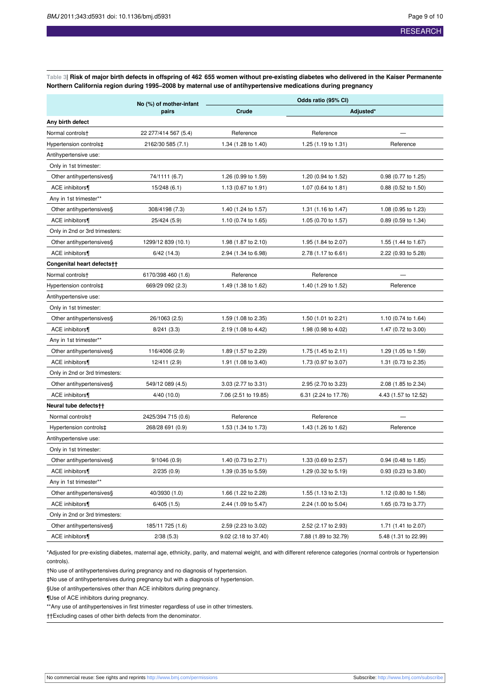<span id="page-8-0"></span>Table 3| Risk of major birth defects in offspring of 462 655 women without pre-existing diabetes who delivered in the Kaiser Permanente **Northern California region during 1995–2008 by maternal use of antihypertensive medications during pregnancy**

|                                | No (%) of mother-infant | Odds ratio (95% CI)  |                      |                       |
|--------------------------------|-------------------------|----------------------|----------------------|-----------------------|
|                                | pairs                   | Crude<br>Adjusted*   |                      |                       |
| Any birth defect               |                         |                      |                      |                       |
| Normal controls+               | 22 277/414 567 (5.4)    | Reference            | Reference            |                       |
| Hypertension controls‡         | 2162/30 585 (7.1)       | 1.34 (1.28 to 1.40)  | 1.25 (1.19 to 1.31)  | Reference             |
| Antihypertensive use:          |                         |                      |                      |                       |
| Only in 1st trimester:         |                         |                      |                      |                       |
| Other antihypertensives§       | 74/1111 (6.7)           | 1.26 (0.99 to 1.59)  | 1.20 (0.94 to 1.52)  | 0.98 (0.77 to 1.25)   |
| ACE inhibitors¶                | 15/248 (6.1)            | 1.13 (0.67 to 1.91)  | 1.07 (0.64 to 1.81)  | $0.88$ (0.52 to 1.50) |
| Any in 1st trimester**         |                         |                      |                      |                       |
| Other antihypertensives§       | 308/4198 (7.3)          | 1.40 (1.24 to 1.57)  | 1.31 (1.16 to 1.47)  | 1.08 (0.95 to 1.23)   |
| ACE inhibitors¶                | 25/424 (5.9)            | 1.10 (0.74 to 1.65)  | 1.05 (0.70 to 1.57)  | 0.89 (0.59 to 1.34)   |
| Only in 2nd or 3rd trimesters: |                         |                      |                      |                       |
| Other antihypertensives§       | 1299/12 839 (10.1)      | 1.98 (1.87 to 2.10)  | 1.95 (1.84 to 2.07)  | 1.55 (1.44 to 1.67)   |
| ACE inhibitors¶                | 6/42(14.3)              | 2.94 (1.34 to 6.98)  | 2.78 (1.17 to 6.61)  | 2.22 (0.93 to 5.28)   |
| Congenital heart defects††     |                         |                      |                      |                       |
| Normal controls+               | 6170/398 460 (1.6)      | Reference            | Reference            |                       |
| Hypertension controls‡         | 669/29 092 (2.3)        | 1.49 (1.38 to 1.62)  | 1.40 (1.29 to 1.52)  | Reference             |
| Antihypertensive use:          |                         |                      |                      |                       |
| Only in 1st trimester:         |                         |                      |                      |                       |
| Other antihypertensives§       | 26/1063 (2.5)           | 1.59 (1.08 to 2.35)  | 1.50 (1.01 to 2.21)  | 1.10 (0.74 to 1.64)   |
| ACE inhibitors¶                | 8/241(3.3)              | 2.19 (1.08 to 4.42)  | 1.98 (0.98 to 4.02)  | 1.47 (0.72 to 3.00)   |
| Any in 1st trimester**         |                         |                      |                      |                       |
| Other antihypertensives§       | 116/4006 (2.9)          | 1.89 (1.57 to 2.29)  | 1.75 (1.45 to 2.11)  | 1.29 (1.05 to 1.59)   |
| ACE inhibitors¶                | 12/411 (2.9)            | 1.91 (1.08 to 3.40)  | 1.73 (0.97 to 3.07)  | 1.31 (0.73 to 2.35)   |
| Only in 2nd or 3rd trimesters: |                         |                      |                      |                       |
| Other antihypertensives§       | 549/12 089 (4.5)        | 3.03 (2.77 to 3.31)  | 2.95 (2.70 to 3.23)  | 2.08 (1.85 to 2.34)   |
| ACE inhibitors¶                | 4/40(10.0)              | 7.06 (2.51 to 19.85) | 6.31 (2.24 to 17.76) | 4.43 (1.57 to 12.52)  |
| Neural tube defects††          |                         |                      |                      |                       |
| Normal controls+               | 2425/394 715 (0.6)      | Reference            | Reference            |                       |
| Hypertension controls‡         | 268/28 691 (0.9)        | 1.53 (1.34 to 1.73)  | 1.43 (1.26 to 1.62)  | Reference             |
| Antihypertensive use:          |                         |                      |                      |                       |
| Only in 1st trimester:         |                         |                      |                      |                       |
| Other antihypertensives§       | 9/1046(0.9)             | 1.40 (0.73 to 2.71)  | 1.33 (0.69 to 2.57)  | 0.94 (0.48 to 1.85)   |
| ACE inhibitors¶                | 2/235(0.9)              | 1.39 (0.35 to 5.59)  | 1.29 (0.32 to 5.19)  | $0.93$ (0.23 to 3.80) |
| Any in 1st trimester**         |                         |                      |                      |                       |
| Other antihypertensives§       | 40/3930 (1.0)           | 1.66 (1.22 to 2.28)  | 1.55 (1.13 to 2.13)  | 1.12 (0.80 to 1.58)   |
| ACE inhibitors¶                | 6/405(1.5)              | 2.44 (1.09 to 5.47)  | 2.24 (1.00 to 5.04)  | 1.65 (0.73 to 3.77)   |
| Only in 2nd or 3rd trimesters: |                         |                      |                      |                       |
| Other antihypertensives§       | 185/11 725 (1.6)        | 2.59 (2.23 to 3.02)  | 2.52 (2.17 to 2.93)  | 1.71 (1.41 to 2.07)   |
| ACE inhibitors¶                | 2/38(5.3)               | 9.02 (2.18 to 37.40) | 7.88 (1.89 to 32.79) | 5.48 (1.31 to 22.99)  |

\*Adjusted for pre-existing diabetes, maternal age, ethnicity, parity, and maternal weight, and with different reference categories (normal controls or hypertension controls).

†No use of antihypertensives during pregnancy and no diagnosis of hypertension.

‡No use of antihypertensives during pregnancy but with a diagnosis of hypertension.

§Use of antihypertensives other than ACE inhibitors during pregnancy.

¶Use of ACE inhibitors during pregnancy.

\*\*Any use of antihypertensives in first trimester regardless of use in other trimesters.

††Excluding cases of other birth defects from the denominator.